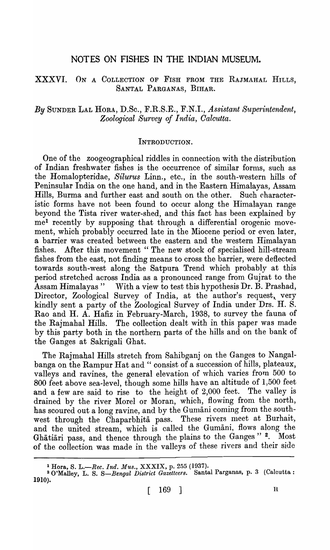# NOTES ON FISHES IN THE INDIAN MUSEUM.

# XXXVI. ON A COLLECTION OF FISH FROM THE RAJMAHAL HILLS, SANTAL PARGANAS, BIHAR.

# *By* SUNDER LAL HORA, D.Sc., F.R.S.E., F.N.I., *Assistant Superintendent, Zoological Survey of India, Calcutta.*

### INTRODUCTION.

One of the zoogeographical riddles in connection with the distribution of Indian freshwater fishes is the occurrence of similar forms, such as the Homalopteridae, *Silurus* Linn., etc., in the south-western hills of Peninsular India on the one hand, and in the Eastern Himalayas, Assam Hills, Burma and further east and south on the other. Such eharacteristic forms have not been found to occur along the Himalayan range beyond the Tista river water-shed, and this fact has been explained by mel recently by supposing that through a differential orogenic movement, which probably occurred late in the Miocene period or even later, a barrier was created between the eastern and the western Himalayan fishes. After this movement "The new stock of specialised hill-stream fishes from the east, not finding means to cross the barrier, were deflected towards south-west along the Satpura Trend which probably at this period stretched across India as a pronounced range from Gujrat to the Assam Himalayas" With a view to test this hypothesis Dr. B. Prashad, Director, Zoological Survey of India, at the author's request, very kindly sent a party of the Zoological Survey of India under Drs. H. S. Rao and H. A. Hafiz in February-March, 1938, to survey the fauna of the Rajmahal Hills. The collection dealt with in this paper was made by this party both in the northern parts of the hills and on the bank of the Ganges at Sakrigali Ghat.

The Rajmahal Hills stretch from Sahibganj on the Ganges to Nangalbanga on the Rampur Hat and "consist of a succession of hills, plateaux, valleys and ravines, the general elevation of which varies from 500 to 800 feet above sea-level, though some hills have an altitude of 1,500 feet and a few are said to rise to the height of 2,000 feet. The valley is drained by the river Morel or Moran, which, flowing from the north, has scoured out a long ravine, and by the Gumani coming from the southwest through the Chaparbhita pass. These rivers meet at Burhait, and the united stream, which is called the Gumani, flows along the Ghatiari pass, and thence through the plains to the Ganges" 2. Most of the collection was made in the valleys of these rivers and their side

<sup>1</sup> Hora, S. *L.-Rec. Ind. MU8.,* XXXIX, p. 255 (1937).

<sup>2</sup> O'Malley, L. S. *S-Bengal Di8trict Gazetteer8.* Santal Parganas, p. 3 (Calcutta: 1910).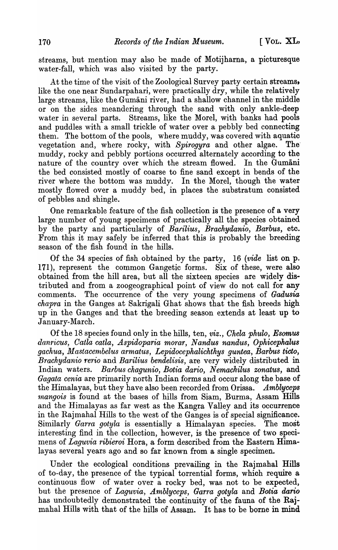streams, but mention may also be made of Motijharna, a picturesque water-fall, which was also visited by the party.

At the time of the visit of the Zoological Survey party certain streams, like the one near Sundarpahari, were practically dry, while the relatively large streams, like the Gumani river, had a shallow channel in the middle or on the sides meandering through the sand with only ankle-deep water in several parts. Streams, like the Morel, with banks had pools and puddles with a small trickle of water over a pebbly bed connecting them. The bottom of the pools, where muddy, was covered with aquatic vegetation and, where rocky, with *Spirogyra* and other algae. The· muddy, rocky and pebbly portions occurred alternately according to the nature of the country over which the stream flowed. In the Gumani the bed consisted mostly of coarse to fine sand except in bends of the river where the bottom was muddy. In the Morel, though the water mostly flowed over a muddy bed, in places the substratum consisted of pebbles and shingle.

One remarkable feature of the fish collection is the presence of a very large number of young specimens of practically all the species obtained by the party and particularly of *Bafilius, Brachydanio, Barbus,* etc. From this it may safely be inferred that this is probably the breeding season of the fish found in the hills.

Of the 34 species of fish obtained by the party, 16 *(vide* list on p. 171), represent the common Gangetic forms. Six of these, were also obtained from the hill area, but all the sixteen species are widely distributed and from a zoogeographical point of view do not call for any comments. The occurrence of the very young specimens of *Gadusia chapra* in the Ganges at Sakrigali Ghat shows that the fish breeds high up in the Ganges and that the breeding season extends at least up to January-March.

Of the 18 species found only in the hills, ten, *viz., Chela phulo, Esomus*  danricus, Catla catla, Aspidoparia morar, Nandus nandus, Ophicephalus *gachua, Mastacernbelus armatus, Lepidocephalichthys guntea, Barbus ticto, Brachydanio rerio* and *Barilius bendelisis*, are very widely distributed in Indian waters. *Barbus chagunio, Botia dario, Nemachilus zonatus,* and *Gagata cenia* are primarily north Indian forms and occur along the base of the Himalayas, but they have also been recorded from Orissa. *Amblyceps nangois* is found at the bases of hills from Siam, Burma, Assam Hills and the Himalayas as far west as the Kangra Valley and its occurrence in the Rajmahal Hills to the west of the Ganges is of special significance. Similarly *Garra gotyla* is essentially a Himalayan species. The most interesting find in the collection, however, is the presence of two specimens of *Laguvia ribieroi* Hora, a form described from the Eastern Himala yas several years ago and so far known from a single specimen.

Under the ecological conditions prevailing in the Rajmahal Hills of to-day, the presence of the typical torrential forms, which require a continuous flow of water over a rocky bed, was not to be expected, but the presence of *Laguvia, Amblyceps, Garra gotyla* and *Botia dario* has undoubtedly demonstrated the continuity of the fauna of the Rajmahal Hills with that of the hills of Assam. It has to be borne in mind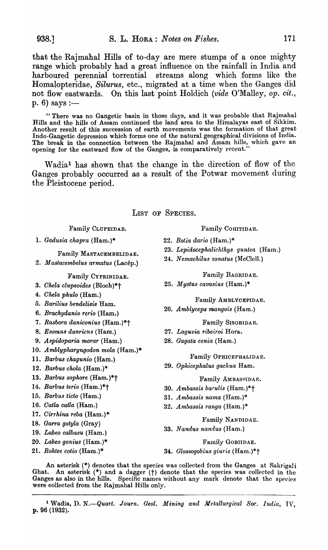that the Rajmahal Hills of to-day are mere stumps of a once mighty range which probably had a great influence on the rainfall in India and harboured perennial torrential streams along which forms like the Homalopteridae, *Silurus,* etc., migrated at a time when the Ganges did not flow eastwards. On this last point Holdich *(vide O'Malley, op. cit.,* p. 6) says :-

"There was no Gangetic basin in those days, and it was probable that Rajmahal Hills and the hills of Assam continued the land area to the Himalayas east of Sikkim. Another result of this succession of earth movements was the formation of that great Indo-Gangetic depression which forms one of the natural geographical divisions of India. The break in the connection between the Rajmahal and Assam hills, which gave an opening for the eastward flow of the Ganges, is comparatively recent."

Wadia<sup>1</sup> has shown that the change in the direction of flow of the Ganges probably occurred as a result of the Potwar movement during the Pleistocene period.

LIST OF SPECIES.

Family CLUPEIDAE.

1. *Gadusia chapra* (Ham.)\*

Family MASTACEMBELIDAE.

2. *Mastacembelus armatus* (Lacép.)

Family CYPRINIDAE.

- *3. Chela elupeoides* (Bloch)\*t
- *4. Chela phulo* (Ham.)
- *5. Barilius bendelisis* Ham.
- *6. Brachydanio rerio* (Ham.)
- *7. Rasbora danieonius* (Ham.)\*t
- *8. Esomus danric1ls* (Ham.)
- *9. Aspidoparia morar* (Ham.)
- 10. *Amblypharyngodon mola* (Ham.)\*
- 11. *Barbus chagunio* (Ham.)
- *12. Barbus ekola* (Ham.)\*
- *13. Barbus sophore* (Ham.)\*t
- 14. *Barbus terio* (Ham.)\*t
- *15. Barbus tieto* (Ham.)
- 16. *Catla catla* (Ham.)
- *17. Cirrhina reba* (Ham.)\*
- *18. Garra gotyla* (Gray)
- 19. *Labeo calbasu* (Ham.)
- *20. Labeo gonius* (Ham.)\*
- *21. Rohtee cotio* (Ham.)\*

Family COHITIDAE.

- *22. Botia dario* (Ham.)\*
- 23. Lepidocephalichthys guntea (Ham.)
- 24. Nemachilus zonatus (McClell.)

Family BAGRIDAE.

25. *Mystus cavasius* (Ham.)\*

Family AMBLYCEPIDAE.

*26. Amblyceps mangois* (Ham.)

Family SISORIDAE.

- *27. Laguvia ribeiroi* Hora.
- *28. Gagata cenia* (Ham.)

Family OPHICEPHALIDAE.

*29. Ophicephalus gachua* Ham.

#### Family AMBASSIDAE.

- *30. Ambassis bafulis* (Ham.)\*t
- *31. A mbassis nama* (Ham.) \*
- *32. Ambassis ranga* (Ham.)\*

Family NANDIDAE.

*33. Nandus nanrlus* (Ham.)

Family GOBIIDAE.

*34. Glo88ogobius giuris* (Ham.)\*t

An asterisk  $(*)$  denotes that the species was collected from the Ganges at Sakrigali Ghat. An asterisk  $(*)$  and a dagger  $(+)$  denote that the species was collected in the Ganges as also in the hills. Specific names without any mark denote that the species were collected from the Rajmahal Hills only.

<sup>1</sup> Wadia, D. N.--Quart. Journ. Geol. Mining and Metallurgical Soc. India, IV. p. 96 (1932).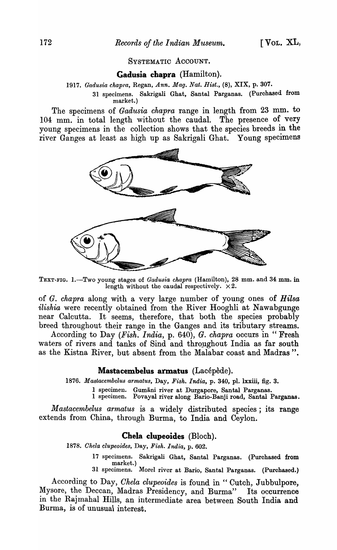#### SYSTEMATIC ACCOUNT.

#### **Gadusia chapra** (Hamilton).

*1917. Gadusia chapra,* Regan, *Ann. Mag. Nat. Hist.,* (8), XIX, p. 307.

31 specimens. Sakrigali Ghat, Santal Parganas. (Purchased from market.)

The specimens of *Gad/usia chapra* range in length from 23 mm. to 104 mm. in total length without the caudal. The presence of very young specimens in the collection shows that the species breeds in the river Ganges at least as high up as Sakrigali Ghat. Young specimens



TEXT-FIG. 1.-Two young stages of *Gadusia chapra* (Hamilton), 28 mm. and 34 mm. in length without the caudal respectively.  $\times 2$ .

of *G. chapra* along with a very large number of young ones of *Hilsa ilishia* were recently obtained from the River Hooghli at Nawabgunge near Calcutta. It seems, therefore, that both the species probably breed throughout their range in the Ganges and its tributary streams.

According to Day *(I*<sup>f</sup> *'ish. India,* p. 640), *G. chapra* occurs in "Fresh waters of rivers and tanks of Sind and throughout India as far south as the Kistna River, but absent from the Malabar coast and Madras".

#### **Mastacembelus armatus** (Lacépède).

*1876. Mastacembelus armatus,* Day, *Fisk. India,* p. 340, pI. lxxiii, fig. 3.

1 specimen. Gumāni river at Durgapore, Santal Parganas.

1 specimen. Povayal river along Bario-Banji road, Santal Parganas.

*Mastacembelus armatus* is a widely distributed species; its range extends from China, through Burma, to India and Ceylon.

#### **Chela clupeoides** (Bloch).

*1878. Chela clupeoides,* Day, *Fish. India,* p. 602.

- 17 specimens. Sakrigali Ghat, Santal Parganas. (Purchased from market.)
- 31 specimens. Morel river at Bario, Santal Parganas. (Purchased.)

According to Day, *Chela clupeoides* is found in " Cutch, Jubbulpore, Mysore, the Deccan, Madras Presidency, and Burma" Its occurrence in the Rajmahal Hills, an intermediate area between South India and Burma, is of unusua\ interest.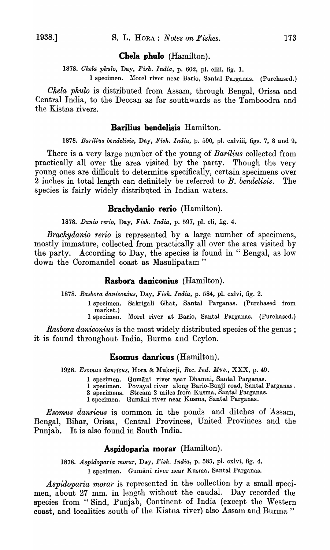### **Chela phulo** (Hamilton).

1878. Chela phulo, Day, Fish. India, p. 602, pl. cliii, fig. 1.

1 specimen. Morel river near Bario, Santal Parganas. (Purchased.)

*Chela phulo* is distributed from Assam, through Bengal, Orissa and Central India, to the Deccan as far southwards as the Tamboodra and the Kistna rivers.

# **Barilius bendelisis** Hamilton.

1878. Barilius bendelisis, Day, Fish. India, p. 590, pl. cxlviii, figs. 7, 8 and 9.

There is a very large number of the young of *Barilius* collected from practically all over the area visited by the party. Though the very young ones are difficult to determine specifically, eertain specimens over 2 inches in total length can definitely be referred to *B. bendelisis.* The species is fairly widely distributed in Indian waters.

### **Brachydanio rerio** (Hamilton).

*1878. Danio rerio,* Day, *Fish. India,* p. 597, pI. cli, fig. 4.

*Brachydanio rerio* is represented by a large number of specimens, mostly immature, collected from practically all over the area visited by the party. According to Day, the species is found in "Bengal, as low down the Coromandel coast as Masulipatam"

### **Rasbora daniconius** (Hamilton).

*1878. Rasbora daniconius,* Day, *Fish. India,* p. 584, pI. cxlvi, fig. 2.

- 1 specimen. Sakrigali Ghat, Santal Parganas. (Purchased from market.)
- 1 specimen. Morel river at Bario, Santal Parganas. (Purchased.)

*Rasbora daniconius* is the most widely distributed species of the genus; it is found throughout India, Burma and Ceylon.

### **Esomus danricus** (Hamilton).

1928. Esomus danricus, Hora & Mukerji, *Rec. Ind. Mus., XXX, p. 49.* 

- 1 specimen. Gumani river near Dhamni, Santal Parganas.
- 1 specimen. Povayal river along Bario-Banji road, Santal Parganas.
- 3 specimens. Stream 2 miles from Kusma, Santal Parganas.
- 1 specimen. Gumani river near Kusma, Santal Parganas.

*Esomus danricus* is common in the ponds and ditches of Assam, Bengal, Bihar, Orissa, Central Provinces, United Provinces and the Punjab. It is also found in South India.

## **Aspidoparia morar** (Hamilton).

*1878. Aspidoparia morar,* Day, *Fish. India;* p. 585, pI. cxlvi, fig. 4. 1 specimen. Gumāni river near Kusma, Santal Parganas.

Aspidoparia morar is represented in the collection by a small specimen, about 27 mm. in length without the caudal. Day recorded the species from "Sind, Punjab, Continent of India (except the Western coast, and localities south of the Kistna river) also Assam and Burma"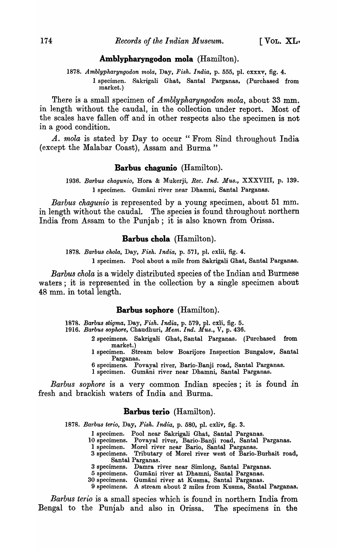### **Amblypharyngodon mola** (Hamilton).

1878. Amblypharyngodon mola, Day, Fish. India, p. 555, pl. cxxxv, fig. 4.

1 specimen. Sakrigali Ghat, Santal Parganas, (Purchased from market.)

There is a small specimen of *Amblypharyngodon mola,* about 33 mm. in length without the caudal, in the collection under report. Most of the scales have fallen off and in other respects also the specimen is not in a good condition.

*A. mola* is stated by Day to occur "From Sind throughout India (except the Malabar Coast), Assam and Burma"

### **Barbus chagunio** (Hamilton).

*1936. Barbu8 ehagunio,* Hora & Mukerji, *Bee. Ind. Mus.,* XXXVIII, p. 139. 1 specimen. Gumani river near Dhamni, Santal Parganas.

*Ba1'bus chagunio* is represented by a young specimen, about 51 mm. in length without the caudal. The species is found throughout northern India from Assam to the Punjab; it is also known from Orissa.

### **Barbus chola** (Hamilton).

*1878. Barbus ehola,* Day, *Fish. India,* p. 571, pl. cxlii, fig. 4.

1 specimen. Pool about a mile from Sakrigali Ghat, Santal Parganas.

*Barbus chola* is a widely distributed species of the Indian and Burmese waters; it is represented in the collection by a single specimen about 48 mm. in total length.

### **Barbus sophore** (Hamilton).

*1878. Barbus stigma,* Day, *Fish. India,* p. 579, pl. cxli, fig. 5.

*1916. Barbus sophore,* Chaudhuri, *Me'm. Ind. Mus.,* V, p. 436.

2 specimens. Sakrigali Ghat, Santal Parganas. (Purchased from market.)

1 specimen. Stream below Boarijore Inspection Bungalow, Santal Parganas.

6 specimens. Povayal river, Bario-Banji road, Santal Parganas.

1 specimen. Gumani river near Dhamni, Santal Parganas.

*Barbus sophore* is a very common Indian species; it is found in fresh and brackish waters of India and Burma.

### **Barbus terio** (Hamilton).

*1878. Barbus terio,* Day, *Fish. India,* p. 580, pl. cxliv, fig. 3.

- 1 specimen. Pool near Sakrigali Ghat, Santal Parganas.
- 10 specimens. Povayal river, Bario-Banji road, Santal Parganas.
	- 1 specimen. Morel river near Bario, Santal Parganas.
- 3 specimens. Tributary of Morel river west of Bario-Burhait road, Santal Parganas.
- 3 specimens. Damra river near Simlong, Santal Parganas.
- 5 specimens. Gumani river at Dhamni, Santal Parganas.
- 30 specimens. Gumani river at Kusma, Santal Parganas.
- 9 specimens. A stream about 2 miles from Kusma, Santal Parganas.

*Barbus terio* is a small species which is found in northern India from Bengal to the Punjab and also in Orissa. The specimens in the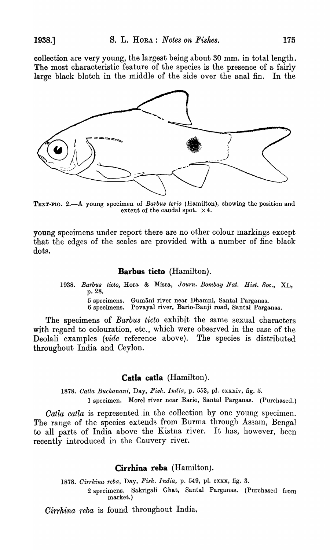collection are very young, the largest being about 30 mm. in total length. The most characteristic feature of the species is the presence of a fairly large black blotch in the middle of the side over the anal fin. In the



TEXT-FIG. 2.-A young specimen of *Barbus terio* (Hamilton), showing the position and extent of the caudal spot.  $\times 4$ .

young specimens under report there are no other colour markings except that the edges of the scales are provided with a number of fine black dots.

#### **Barbus ticto** (Hamilton).

*1938. Bm'bus ticto,* Hora & Misra, *Journ. Bombay Nat. Hist. Soc.,* XL, p.28.

5 specimens. Gumani river near Dhamni, Santal Parganas.

6 specimens. Povayal river, Bario-Banji road, Santal Parganas.

The specimens of *Barbus ticto* exhibit the same sexual characters with regard to colouration, etc., which were observed in the case of the Deolali examples *(vide* reference above). The species is distributed throughout India and Ceylon.

### **Catla catla** (Hamilton).

*1878. Gatla Buchanan?',* Day, *Fish. India,* p. 553, pI. cxxxiv, fig. 5. 1 specimen. Morel river near Bario, Santal Parganas. (Purchased.)

*Catla catla* is represented in the collection by one young specimen. The range of the species extends from Burma through Assam, Bengal to all parts of India above the Kistna river. It has, however, been recently introduced in the Cauvery river.

# Cirrhina reba (Hamilton).

1878. Cirrhina reba, Day, Fish. India, p. 549, pl. cxxx, fig. 3.

2 specimens. Sakrigali Ghat, Santal Parganas. (Purchased from market.)

*Oirrhina -reba* is found throughout India.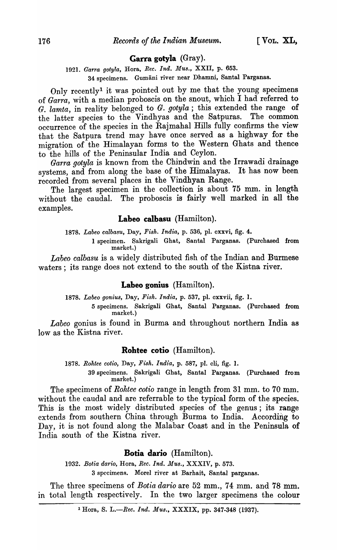### **Carra gotyla** (Gray).

1921. *Garra gotyla*, Hora, *Rec. Ind. Mus.*, XXII, p. 653. 34 specimens. Gumani river near Dhamni, Santal Parganas.

Only recently<sup>1</sup> it was pointed out by me that the young specimens of *Garra,* with a median proboscis on the snout, which I had referred to *G. lamta*, in reality belonged to *G. gotyla*; this extended the range of the latter species to the Vindhyas and the Satpuras. The common the latter species to the Vindhyas and the Satpuras. occurrence of the species in the Rajmahal Hills fully confirms the view that the Satpura trend may have once served as a highway for the migration of the Himalayan forms to the Western Ghats and thence to the hills of the Peninsular India and Ceylon.

*Garra gotyla* is known from the Chindwin and the Irrawadi drainage systems, and from along the base of the Himalayas. It has now been recorded from several places in the Vindhyan Range.

The largest specimen in the collection is about 75 mm. in length without the caudal. The proboscis is fairly well marked in all the examples.

### **Labeo ealbasu** (Hamilton).

*1878. Labeo ealbasu,* Day, *Fish. India,* p. 536, pI. cxxvi, fig. 4.

1 specimen. Sakrigali Ghat, Santal Parganas. (Purchased from market.)

*Labeo calbasu* is a widely distributed fish of the Indian and Burmese waters; its range does not extend to the south of the Kistna river.

### **Labeo gonius** (Hamilton).

*1878. Labeo gonius,* Day, *Fish. India,* p. 537, pl. cxxvii, fig. 1.

5 specimens. SakrigaIi Ghat, Santal Parganas. (Purchased from market.)

*Labeo* gonius is found in Burma and throughout northern India as low as the Kistna river.

#### **Rohtee eotio** (Hamilton).

*1878. Rohtee eotio,* Day, *Fish. India,* p. 587, pI. cli, fig. 1. 39 specimens. Sakrigali Ghat, Santal Parganas. (Purchased from market.)

The specimens of *Rohtee cotio* range in length from 31 mm. to 70 mm. without the caudal and are referrable to the typical form of the species. This is the most widely distributed species of the genus; its range extends from southern China through Burma to India. According to Day, it is not found along the Malabar Coast and in the Peninsula of India south of the Kistna river.

#### **Botia dario** (Hamilton).

*1932. Bolia dario,* Rora, *Ree. Ind. Mus.,* XXXIV, p. 573. 3 specimens. Morel river at Barhait, Santal parganas.

The three specimens of *Botia dario* are 52 mm., 74 mm. and 78 mm. in total length respectively. In the two larger specimens the colour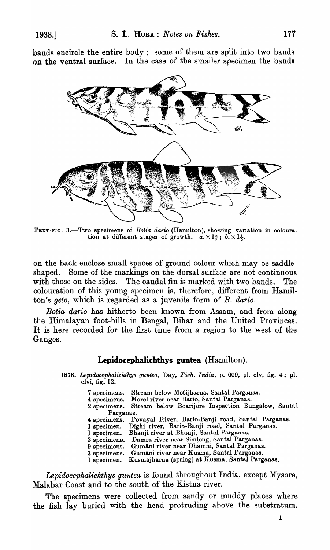bands encircle the entire body; some of them are split into two bands on the ventral surface. In the case of the smaller specimen the bands



TEXT-FIG. 3.-Two specimens of *Botia dario* (Hamilton), showing variation in colouration at different stages of growth.  $a. \times 1\frac{3}{5}$ ;  $b. \times 1\frac{1}{6}$ .

on the back enclose small spaces of ground colour which may be saddleshaped. Some of the markings on the dorsal surface are not continuous with those on the sides. The caudal fin is marked with two bands. The colouration of this young specimen is, therefore, different from Hamilton's *geto,* which is regarded as a juvenile form of *B. dario.* 

*Botia dat'io* has hitherto been known from Assam, and from along the Himalayan foot-hills in Bengal, Bihar and the United Provinces. It is here recorded for the first time from a region to the west of the Ganges.

### Lepidocephalichthys guntea  $(Hamilton)$ .

*1878. Lepidocephalichthys guntea,* Day, *Fish. India,* p. 609, pI. clv, fig. 4; pI. clvi, fig. 12.

| 7 specimens. Stream below Motijharna, Santal Parganas. |
|--------------------------------------------------------|
| 4 specimens. Morel river near Bario, Santal Parganas.  |

2 specimens. Stream below Boarijore Inspection Bungalow, Santa 1

- Parganas.
- 4 specimens. Povayal River, Bario-Banji road, Santal Parganas.
- 1 specimen. Dighi river, Bario-Banji road, Santal Parganas.
- 1 specimen. Bhanji river at Bhanji, Santal Parganas.
- 3 specimens. Damra river near Simlong, Santal Parganas.
- 9 specimens. Gumani river near Dhamni, Santal Parganas.
- 3 specimens. Gumani river near K uama, Santal Parganas.
- 1 specimen. Kusmajharna (spring) at Kusma, Santal Parganas.

*Lepidocephalichthys guntea* is found throughout India, except Mysore, Malabar Coast and to the south of the Kistna river.

The specimens were collected from sandy or muddy places where the fish lay buried with the head protruding above the substratum.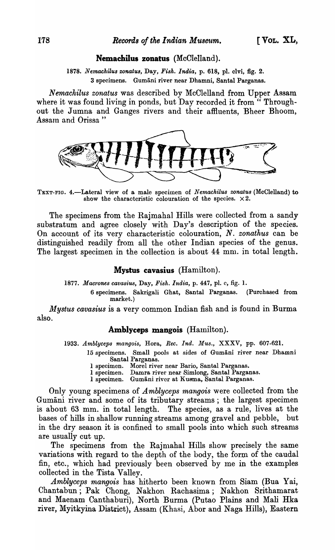#### Nemachilus zonatus (McClelland).

1878. Nemachilus zonatus, Day, Fish. India, p. 618, pl. clvi, fig. 2. 3 specimens. Gumani river near Dhamni, Santal Parganas.

*Nemachilus zonatus* was described by McClelland from Upper Assam. where it was found living in ponds, but Day recorded it from "Throughout the Jumna and Ganges rivers and their affiuents, Bheer Bhoom, Assam and Orissa"



TEXT-FIG. 4.-Lateral view of a male specimen of *N emachilus zonatus* (McClelland) to show the characteristic colouration of the species.  $\times 2$ .

The specimens from the Rajmahal Hills were collected from a sandy substratum and agree closely with Day's description of the species. On account of its very characteristic colouration, *N. zonathus* can be distinguished readily from all the other Indian species of the genus. The largest specimen in the collection is about 44 mm. in total length.

#### Mystus cavasius (Hamilton).

*1877. Macrones cavasius,* Day, *Fish. India,* p. 447, pI. c, fig. 1.

6 specimens. Sakrigali Ghat, Santal Parganas. (Purchased from market.)

*Mystus cavasius* is a very common Indian fish and is found in Burma also.

### Amblyceps mangois (Hamilton).

1933. Amblyceps mangois, Hora, *Rec. Ind. Mus.*, XXXV, pp. 607-621.

- 15 specimens. Small pools at sides of Gumani river near Dhamni Santal Parganas.
	- 1 specimen. Morel river near Dario, Santal Parganas.
	- 1 specimen. Damra river near Simlong, Santal Parganas.
	- 1 specimen. Gumāni river at Kusma, Santal Parganas.

Only young specimens of *Amblyceps mangois* were collected from the Gumani river and some of its tributary streams; the largest specimen is about 63 mm. in total length. The species, as a rule, lives at the bases of hills in shallow running streams among gravel and pebble, but in the dry season it is confined to small pools into which such streams are usually cut up.

The specimens from the Rajmahal Hills show precisely the same variations with regard to the depth of the body, the form of the caudal fin, etc., which had previously been observed by me in the examples collected in the Tista Vallev.

*Amblyceps mangois* has hitherto been known from Siam (Bua Yai, Chantabun; Pak Chong, Nakhon Rachasima; Nakhon Srithamarat and Maenam Canthaburi), North Burma (Putao Plains and Mali Hka river, Myitkyina District), Assam (Khasi, Abor and Naga Hills), Eastern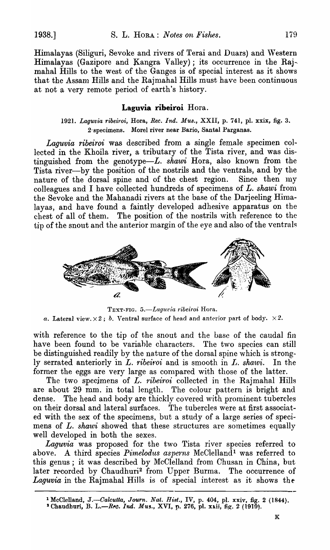Himalayas (Siliguri, Sevoke and rivers of Terai and Duars) and Western Himalayas (Gazipore and Kangra Valley); its occurrence in the Raj- mahal Hills to the west of the Ganges is of special interest as it shows that the Assan) Hills and the Rajmahal Hills must have been continuous at not a very remote period of earth's history.

# **Laguvia ribeiroi** Hora.

*1921. Laguvia ribeiroi,* Bora, *Ree. Ind. Mus.,* XXII, p. 741, pI. xxix, fig. 3. 2' specimens. Morel river near Bario, Santal Parganas.

*Laguvia ribeiroi* was described from a single female specimen collected in the Khoila river, a tributary of the Tista river, and was distinguished from the genotype-L. *shawi* Hora, also known from the Tista river-by the position of the nostrils and the ventrals, and by the nature of the dorsal spine and of the chest region. Since then my colleagues and I have collected hundreds of specimens of *L. shawi* from the Sevoke and the Mahanadi rivers at the base of the Darjeeling Himalayas, and have found a faintly developed adhesive apparatus on the chest of all of them. The position of the nostrils with reference to the tip of the snout and the anterior margin of the eye and also of the ventrals



TEXT-FIG. 5.-Laguvia ribeiroi Hora. *a.* Lateral view.  $\times 2$ ; *b.* Ventral surface of head and anterior part of body.  $\times 2$ .

with reference to the tip of the snout and the base of the caudal fin have been found to be variahle characters. The two species can still be distinguished readily by the nature of the dorsal spine which is strongly serrated anteriorly in *L. ribeiroi* and is smooth in *L. shawi*. In the former the eggs are very large as compared with those of the latter.

The two specimens of *L. ribeiroi* collected in the Rajmahal Hills are about 29 mm. in total length. The colour pattern is bright and dense. The head and body are thickly covered with prominent tubercles on their dorsal and lateral surfaces. The tubercles were at first associated with the sex of the specimens, but a study of a large series of specimens of *L. shawi* showed that these structures are sometimes equally well developed in both the sexes.

*Laguvia* was proposed for the two Tista river species referred to above. A third species *Pimelodus asperns* McClelland<sup>1</sup> was referred to this genus; it was described by McClelland from Chusan in China, but later recorded by Chaudhuri<sup>2</sup> from Upper Burma. The occurrence of Laguvia in the Rajmahal Hills is of special interest as it shows the

<sup>1</sup>McClelland, *J.-Oalcutta, Journ. Nat. Hist.,* IV, p. 404, pI. xxiv, fig. 2 (1844). <sup>2</sup> Chaudhuri, B. L.—Rec. *Ind. Mus.*, XVI, p. 276, pl. xxii, fig. 2 (1910).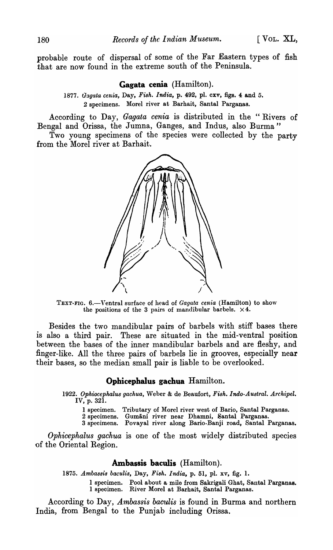probable route of dispersal of some of the Far Eastern types of fish that are now found in the extreme south of the Peninsula.

#### **Gagata cenia** (Hamilton).

*1877. uagata cenia,* Day, *Fish. India,* p. 492, pl. cxv, figs. 4 and 5. 2 specimens. Morel river at Barhait, Santal Parganas.

According to Day, *Gagata cenia* is distributed in the "Rivers of Bengal and Orissa, the Jumna, Ganges, and Indus, also Burma"

Two young specimens of the species were collected by the party from the Morel river at Barhait.



TEXT-FIG. 6.-Ventral surface of head of *Gagata cenia* (Hamilton) to show the positions of the 3 pairs of mandibular barbels.  $\times$  4.

Besides the two mandibular pairs of barbels with stiff bases there is also a third pair. These are situated in the mid-ventral position between the bases of the inner mandibular barbels and are fleshy, and finger-like. All the three pairs of barbels lie in grooves, especially near their bases, so the median small pair is liable to be overlooked.

### **Ophicephalu5 gachua** Hamilton.

*1922. Ophiocephalus gachua,* Weber & de Beaufort, *Fish. Indo-Austral. ArchipeZ.*  IV, p. 321.

1 specimen. Tributary of Morel river west of Bario, Santal Parganas.

2 specimens. Gumani river near Dhamni, Santal Parganas.

3 specimens. Povayal river along Bario-Banji road, Santal Parganas.

*Ophicephalus gachua* is one of the most widely distributed species of the Oriental Region.

### **Ambassis baculis** (Hamilton).

*1875. Ambassis baculis,* Day, *Fish. India,* p. 51, pl. xv, fig. 1.

1 specimen. Pool about a mile from Sakrigali Ghat, Santal Parganas. I specimen. River Morel at Barhait, Santal Parganas.

According to Day, *Ambassis baculis* is found in Burma and northern India, from Bengal to the Punjab including Orissa.